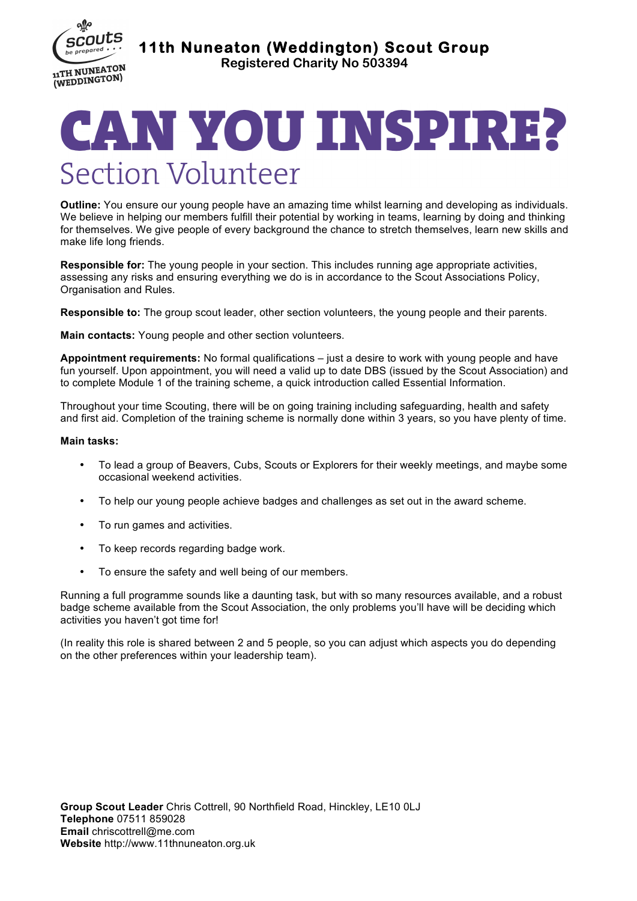

**11th Nuneaton (Weddington) Scout Group** 

**Registered Charity No 503394**

## CAN YOU INSPIRE? **Section Volunteer**

**Outline:** You ensure our young people have an amazing time whilst learning and developing as individuals. We believe in helping our members fulfill their potential by working in teams, learning by doing and thinking for themselves. We give people of every background the chance to stretch themselves, learn new skills and make life long friends.

**Responsible for:** The young people in your section. This includes running age appropriate activities, assessing any risks and ensuring everything we do is in accordance to the Scout Associations Policy, Organisation and Rules.

**Responsible to:** The group scout leader, other section volunteers, the young people and their parents.

**Main contacts:** Young people and other section volunteers.

**Appointment requirements:** No formal qualifications – just a desire to work with young people and have fun yourself. Upon appointment, you will need a valid up to date DBS (issued by the Scout Association) and to complete Module 1 of the training scheme, a quick introduction called Essential Information.

Throughout your time Scouting, there will be on going training including safeguarding, health and safety and first aid. Completion of the training scheme is normally done within 3 years, so you have plenty of time.

## **Main tasks:**

- To lead a group of Beavers, Cubs, Scouts or Explorers for their weekly meetings, and maybe some occasional weekend activities.
- To help our young people achieve badges and challenges as set out in the award scheme.
- To run games and activities.
- To keep records regarding badge work.
- To ensure the safety and well being of our members.

Running a full programme sounds like a daunting task, but with so many resources available, and a robust badge scheme available from the Scout Association, the only problems you'll have will be deciding which activities you haven't got time for!

(In reality this role is shared between 2 and 5 people, so you can adjust which aspects you do depending on the other preferences within your leadership team).